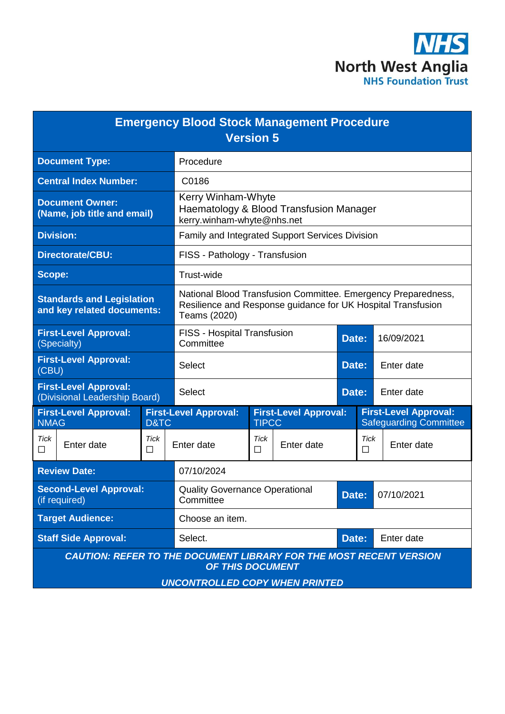

|                                                                           | <b>Emergency Blood Stock Management Procedure</b>                                                                                             | <b>Version 5</b> |                              |            |           |                                                               |
|---------------------------------------------------------------------------|-----------------------------------------------------------------------------------------------------------------------------------------------|------------------|------------------------------|------------|-----------|---------------------------------------------------------------|
| <b>Document Type:</b>                                                     | Procedure                                                                                                                                     |                  |                              |            |           |                                                               |
| <b>Central Index Number:</b>                                              | C0186                                                                                                                                         |                  |                              |            |           |                                                               |
| <b>Document Owner:</b><br>(Name, job title and email)                     | Kerry Winham-Whyte<br>Haematology & Blood Transfusion Manager<br>kerry.winham-whyte@nhs.net                                                   |                  |                              |            |           |                                                               |
| <b>Division:</b>                                                          | Family and Integrated Support Services Division                                                                                               |                  |                              |            |           |                                                               |
| <b>Directorate/CBU:</b>                                                   | FISS - Pathology - Transfusion                                                                                                                |                  |                              |            |           |                                                               |
| Scope:                                                                    | Trust-wide                                                                                                                                    |                  |                              |            |           |                                                               |
| <b>Standards and Legislation</b><br>and key related documents:            | National Blood Transfusion Committee. Emergency Preparedness,<br>Resilience and Response guidance for UK Hospital Transfusion<br>Teams (2020) |                  |                              |            |           |                                                               |
| <b>First-Level Approval:</b><br>(Specialty)                               | FISS - Hospital Transfusion<br>Committee                                                                                                      |                  |                              | Date:      |           | 16/09/2021                                                    |
| <b>First-Level Approval:</b><br>(CBU)                                     | <b>Select</b><br>Date:                                                                                                                        |                  |                              | Enter date |           |                                                               |
| <b>First-Level Approval:</b><br>(Divisional Leadership Board)             | <b>Select</b>                                                                                                                                 |                  |                              | Date:      |           | Enter date                                                    |
| <b>First-Level Approval:</b><br><b>NMAG</b><br>D&TC                       | <b>First-Level Approval:</b>                                                                                                                  | <b>TIPCC</b>     | <b>First-Level Approval:</b> |            |           | <b>First-Level Approval:</b><br><b>Safeguarding Committee</b> |
| <b>Tick</b><br>Tick<br>Enter date<br>П<br>П                               | Enter date                                                                                                                                    | <b>Tick</b><br>П | Enter date                   |            | Tick<br>□ | Enter date                                                    |
| <b>Review Date:</b>                                                       | 07/10/2024                                                                                                                                    |                  |                              |            |           |                                                               |
| <b>Second-Level Approval:</b><br>(if required)                            | <b>Quality Governance Operational</b><br>Committee                                                                                            |                  |                              | Date:      |           | 07/10/2021                                                    |
| <b>Target Audience:</b>                                                   | Choose an item.                                                                                                                               |                  |                              |            |           |                                                               |
| <b>Staff Side Approval:</b>                                               | Select.                                                                                                                                       |                  |                              | Date:      |           | Enter date                                                    |
| <b>CAUTION: REFER TO THE DOCUMENT LIBRARY FOR THE MOST RECENT VERSION</b> | OF THIS DOCUMENT<br><b>UNCONTROLLED COPY WHEN PRINTED</b>                                                                                     |                  |                              |            |           |                                                               |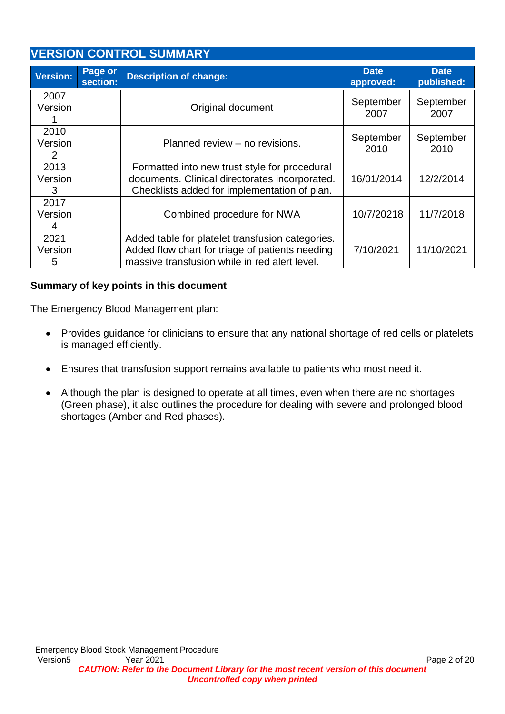# **VERSION CONTROL SUMMARY**

| Version:             | Page or<br>section: | <b>Description of change:</b>                                                                                                                        | <b>Date</b><br>approved: | <b>Date</b><br>published: |
|----------------------|---------------------|------------------------------------------------------------------------------------------------------------------------------------------------------|--------------------------|---------------------------|
| 2007<br>Version      |                     | Original document                                                                                                                                    | September<br>2007        | September<br>2007         |
| 2010<br>Version<br>2 |                     | Planned review - no revisions.                                                                                                                       | September<br>2010        | September<br>2010         |
| 2013<br>Version<br>3 |                     | Formatted into new trust style for procedural<br>documents. Clinical directorates incorporated.<br>Checklists added for implementation of plan.      | 16/01/2014               | 12/2/2014                 |
| 2017<br>Version<br>4 |                     | Combined procedure for NWA                                                                                                                           | 10/7/20218               | 11/7/2018                 |
| 2021<br>Version<br>5 |                     | Added table for platelet transfusion categories.<br>Added flow chart for triage of patients needing<br>massive transfusion while in red alert level. | 7/10/2021                | 11/10/2021                |

### **Summary of key points in this document**

The Emergency Blood Management plan:

- Provides guidance for clinicians to ensure that any national shortage of red cells or platelets is managed efficiently.
- Ensures that transfusion support remains available to patients who most need it.
- Although the plan is designed to operate at all times, even when there are no shortages (Green phase), it also outlines the procedure for dealing with severe and prolonged blood shortages (Amber and Red phases).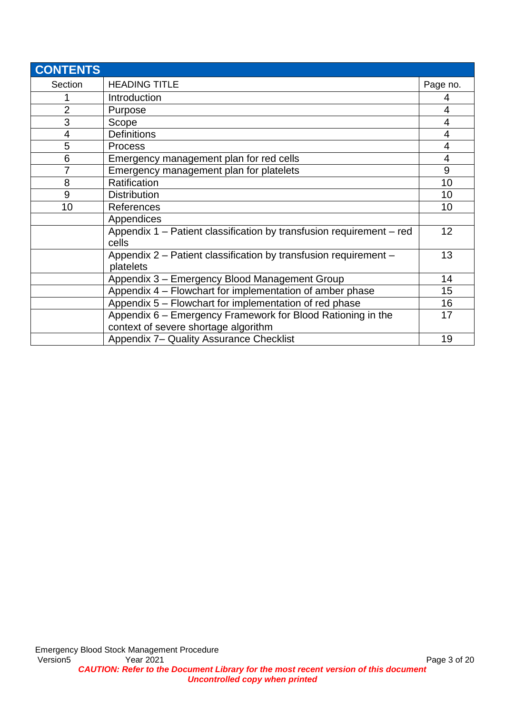| <b>CONTENTS</b> |                                                                               |                |
|-----------------|-------------------------------------------------------------------------------|----------------|
| Section         | <b>HEADING TITLE</b>                                                          | Page no.       |
|                 | Introduction                                                                  | 4              |
| $\overline{2}$  | Purpose                                                                       | $\overline{4}$ |
| 3               | Scope                                                                         | $\overline{4}$ |
| 4               | <b>Definitions</b>                                                            | 4              |
| 5               | <b>Process</b>                                                                | $\overline{4}$ |
| 6               | Emergency management plan for red cells                                       | $\overline{4}$ |
| $\overline{7}$  | Emergency management plan for platelets                                       | 9              |
| 8               | Ratification                                                                  | 10             |
| 9               | <b>Distribution</b>                                                           | 10             |
| 10              | References                                                                    | 10             |
|                 | Appendices                                                                    |                |
|                 | Appendix 1 – Patient classification by transfusion requirement – red<br>cells | 12             |
|                 | Appendix 2 – Patient classification by transfusion requirement –<br>platelets | 13             |
|                 | Appendix 3 - Emergency Blood Management Group                                 | 14             |
|                 | Appendix 4 – Flowchart for implementation of amber phase                      | 15             |
|                 | Appendix 5 – Flowchart for implementation of red phase                        | 16             |
|                 | Appendix 6 – Emergency Framework for Blood Rationing in the                   | 17             |
|                 | context of severe shortage algorithm                                          |                |
|                 | Appendix 7- Quality Assurance Checklist                                       | 19             |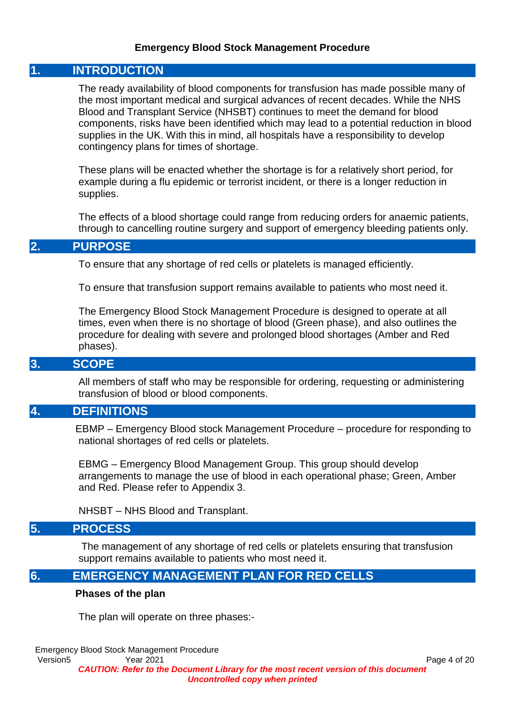#### **Emergency Blood Stock Management Procedure**

#### **1. INTRODUCTION**

The ready availability of blood components for transfusion has made possible many of the most important medical and surgical advances of recent decades. While the NHS Blood and Transplant Service (NHSBT) continues to meet the demand for blood components, risks have been identified which may lead to a potential reduction in blood supplies in the UK. With this in mind, all hospitals have a responsibility to develop contingency plans for times of shortage.

These plans will be enacted whether the shortage is for a relatively short period, for example during a flu epidemic or terrorist incident, or there is a longer reduction in supplies.

The effects of a blood shortage could range from reducing orders for anaemic patients, through to cancelling routine surgery and support of emergency bleeding patients only.

#### **2. PURPOSE**

To ensure that any shortage of red cells or platelets is managed efficiently.

To ensure that transfusion support remains available to patients who most need it.

The Emergency Blood Stock Management Procedure is designed to operate at all times, even when there is no shortage of blood (Green phase), and also outlines the procedure for dealing with severe and prolonged blood shortages (Amber and Red phases).

#### **3. SCOPE**

All members of staff who may be responsible for ordering, requesting or administering transfusion of blood or blood components.

### **4. DEFINITIONS**

EBMP – Emergency Blood stock Management Procedure – procedure for responding to national shortages of red cells or platelets.

EBMG – Emergency Blood Management Group. This group should develop arrangements to manage the use of blood in each operational phase; Green, Amber and Red. Please refer to Appendix 3.

NHSBT – NHS Blood and Transplant.

### **5. PROCESS**

The management of any shortage of red cells or platelets ensuring that transfusion support remains available to patients who most need it.

#### **6. EMERGENCY MANAGEMENT PLAN FOR RED CELLS**

#### **Phases of the plan**

The plan will operate on three phases:-

Emergency Blood Stock Management Procedure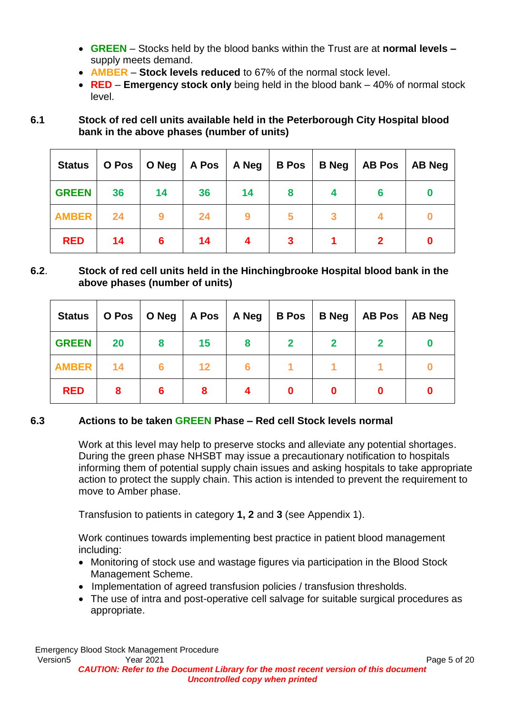- **GREEN** Stocks held by the blood banks within the Trust are at **normal levels –** supply meets demand.
- **AMBER Stock levels reduced** to 67% of the normal stock level.
- **RED Emergency stock only** being held in the blood bank 40% of normal stock level.
- **6.1 Stock of red cell units available held in the Peterborough City Hospital blood bank in the above phases (number of units)**

| <b>Status</b> | O Pos |    | O Neg $ $ A Pos $ $ | A Neg | <b>B</b> Pos | <b>B</b> Neg | <b>AB Pos</b> | AB Neg |
|---------------|-------|----|---------------------|-------|--------------|--------------|---------------|--------|
| <b>GREEN</b>  | 36    | 14 | 36                  | 14    | 8            |              | 6             |        |
| <b>AMBER</b>  | 24    |    | 24                  | 9     |              |              |               |        |
| <b>RED</b>    | 14    | 6  | 14                  |       |              |              |               | O      |

## **6.2**. **Stock of red cell units held in the Hinchingbrooke Hospital blood bank in the above phases (number of units)**

| <b>Status</b> | O Pos |   |    | O Neg   A Pos   A Neg | <b>B</b> Pos | B Neg | <b>AB Pos</b> | AB Neg |
|---------------|-------|---|----|-----------------------|--------------|-------|---------------|--------|
| <b>GREEN</b>  | 20    | 8 | 15 | 8                     | $\mathbf 2$  |       |               |        |
| <b>AMBER</b>  | 14    | 6 | 12 |                       |              |       |               |        |
| <b>RED</b>    | 8     | 6 | 8  |                       |              |       |               |        |

## **6.3 Actions to be taken GREEN Phase – Red cell Stock levels normal**

Work at this level may help to preserve stocks and alleviate any potential shortages. During the green phase NHSBT may issue a precautionary notification to hospitals informing them of potential supply chain issues and asking hospitals to take appropriate action to protect the supply chain. This action is intended to prevent the requirement to move to Amber phase.

Transfusion to patients in category **1, 2** and **3** (see Appendix 1).

Work continues towards implementing best practice in patient blood management including:

- Monitoring of stock use and wastage figures via participation in the Blood Stock Management Scheme.
- Implementation of agreed transfusion policies / transfusion thresholds.
- The use of intra and post-operative cell salvage for suitable surgical procedures as appropriate.

Emergency Blood Stock Management Procedure Version5 Year 2021 Page 5 of 20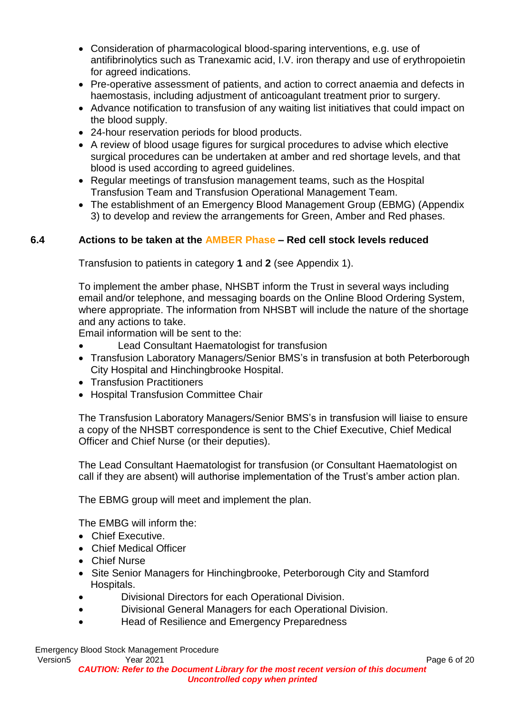- Consideration of pharmacological blood-sparing interventions, e.g. use of antifibrinolytics such as Tranexamic acid, I.V. iron therapy and use of erythropoietin for agreed indications.
- Pre-operative assessment of patients, and action to correct anaemia and defects in haemostasis, including adjustment of anticoagulant treatment prior to surgery.
- Advance notification to transfusion of any waiting list initiatives that could impact on the blood supply.
- 24-hour reservation periods for blood products.
- A review of blood usage figures for surgical procedures to advise which elective surgical procedures can be undertaken at amber and red shortage levels, and that blood is used according to agreed guidelines.
- Regular meetings of transfusion management teams, such as the Hospital Transfusion Team and Transfusion Operational Management Team.
- The establishment of an Emergency Blood Management Group (EBMG) (Appendix 3) to develop and review the arrangements for Green, Amber and Red phases.

## **6.4 Actions to be taken at the AMBER Phase – Red cell stock levels reduced**

Transfusion to patients in category **1** and **2** (see Appendix 1).

To implement the amber phase, NHSBT inform the Trust in several ways including email and/or telephone, and messaging boards on the Online Blood Ordering System, where appropriate. The information from NHSBT will include the nature of the shortage and any actions to take.

Email information will be sent to the:

- Lead Consultant Haematologist for transfusion
- Transfusion Laboratory Managers/Senior BMS's in transfusion at both Peterborough City Hospital and Hinchingbrooke Hospital.
- Transfusion Practitioners
- Hospital Transfusion Committee Chair

The Transfusion Laboratory Managers/Senior BMS's in transfusion will liaise to ensure a copy of the NHSBT correspondence is sent to the Chief Executive, Chief Medical Officer and Chief Nurse (or their deputies).

The Lead Consultant Haematologist for transfusion (or Consultant Haematologist on call if they are absent) will authorise implementation of the Trust's amber action plan.

The EBMG group will meet and implement the plan.

The EMBG will inform the:

- Chief Executive.
- Chief Medical Officer
- Chief Nurse
- Site Senior Managers for Hinchingbrooke, Peterborough City and Stamford Hospitals.
- Divisional Directors for each Operational Division.
- Divisional General Managers for each Operational Division.
- Head of Resilience and Emergency Preparedness

Emergency Blood Stock Management Procedure Version5 Year 2021 Page 6 of 20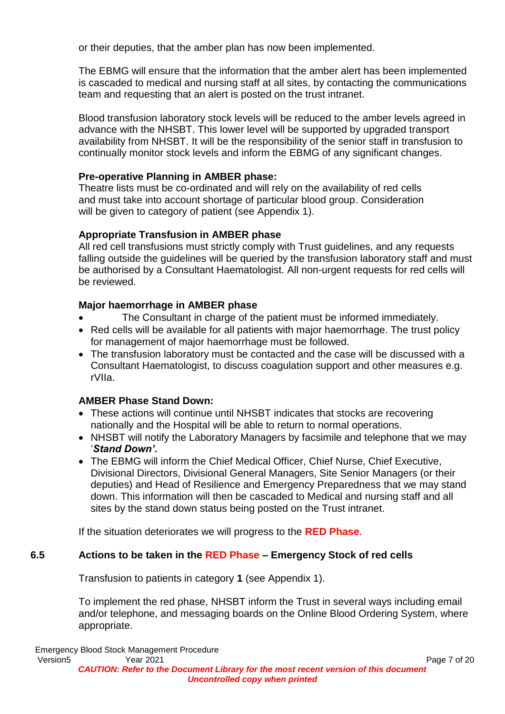or their deputies, that the amber plan has now been implemented.

The EBMG will ensure that the information that the amber alert has been implemented is cascaded to medical and nursing staff at all sites, by contacting the communications team and requesting that an alert is posted on the trust intranet.

Blood transfusion laboratory stock levels will be reduced to the amber levels agreed in advance with the NHSBT. This lower level will be supported by upgraded transport availability from NHSBT. It will be the responsibility of the senior staff in transfusion to continually monitor stock levels and inform the EBMG of any significant changes.

## **Pre-operative Planning in AMBER phase:**

Theatre lists must be co-ordinated and will rely on the availability of red cells and must take into account shortage of particular blood group. Consideration will be given to category of patient (see Appendix 1).

## **Appropriate Transfusion in AMBER phase**

All red cell transfusions must strictly comply with Trust guidelines, and any requests falling outside the guidelines will be queried by the transfusion laboratory staff and must be authorised by a Consultant Haematologist. All non-urgent requests for red cells will be reviewed.

## **Major haemorrhage in AMBER phase**

- The Consultant in charge of the patient must be informed immediately.
- Red cells will be available for all patients with major haemorrhage. The trust policy for management of major haemorrhage must be followed.
- The transfusion laboratory must be contacted and the case will be discussed with a Consultant Haematologist, to discuss coagulation support and other measures e.g. rVIIa.

## **AMBER Phase Stand Down:**

- These actions will continue until NHSBT indicates that stocks are recovering nationally and the Hospital will be able to return to normal operations.
- NHSBT will notify the Laboratory Managers by facsimile and telephone that we may '*Stand Down'.*
- The EBMG will inform the Chief Medical Officer, Chief Nurse, Chief Executive, Divisional Directors, Divisional General Managers, Site Senior Managers (or their deputies) and Head of Resilience and Emergency Preparedness that we may stand down. This information will then be cascaded to Medical and nursing staff and all sites by the stand down status being posted on the Trust intranet.

If the situation deteriorates we will progress to the **RED Phase**.

## **6.5 Actions to be taken in the RED Phase – Emergency Stock of red cells**

Transfusion to patients in category **1** (see Appendix 1).

To implement the red phase, NHSBT inform the Trust in several ways including email and/or telephone, and messaging boards on the Online Blood Ordering System, where appropriate.

Emergency Blood Stock Management Procedure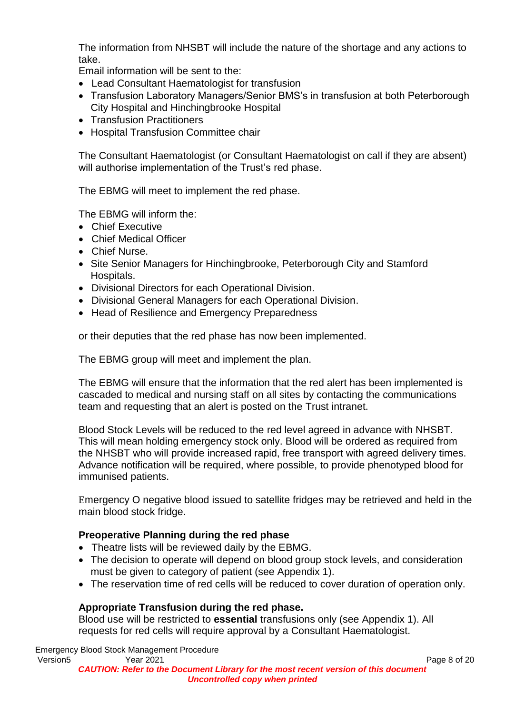The information from NHSBT will include the nature of the shortage and any actions to take.

Email information will be sent to the:

- Lead Consultant Haematologist for transfusion
- Transfusion Laboratory Managers/Senior BMS's in transfusion at both Peterborough City Hospital and Hinchingbrooke Hospital
- Transfusion Practitioners
- Hospital Transfusion Committee chair

The Consultant Haematologist (or Consultant Haematologist on call if they are absent) will authorise implementation of the Trust's red phase.

The EBMG will meet to implement the red phase.

The EBMG will inform the:

- Chief Executive
- Chief Medical Officer
- Chief Nurse.
- Site Senior Managers for Hinchingbrooke, Peterborough City and Stamford Hospitals.
- Divisional Directors for each Operational Division.
- Divisional General Managers for each Operational Division.
- Head of Resilience and Emergency Preparedness

or their deputies that the red phase has now been implemented.

The EBMG group will meet and implement the plan.

The EBMG will ensure that the information that the red alert has been implemented is cascaded to medical and nursing staff on all sites by contacting the communications team and requesting that an alert is posted on the Trust intranet.

Blood Stock Levels will be reduced to the red level agreed in advance with NHSBT. This will mean holding emergency stock only. Blood will be ordered as required from the NHSBT who will provide increased rapid, free transport with agreed delivery times. Advance notification will be required, where possible, to provide phenotyped blood for immunised patients.

Emergency O negative blood issued to satellite fridges may be retrieved and held in the main blood stock fridge.

#### **Preoperative Planning during the red phase**

- Theatre lists will be reviewed daily by the EBMG.
- The decision to operate will depend on blood group stock levels, and consideration must be given to category of patient (see Appendix 1).
- The reservation time of red cells will be reduced to cover duration of operation only.

#### **Appropriate Transfusion during the red phase.**

Blood use will be restricted to **essential** transfusions only (see Appendix 1). All requests for red cells will require approval by a Consultant Haematologist.

Emergency Blood Stock Management Procedure Version5 Year 2021 Page 8 of 20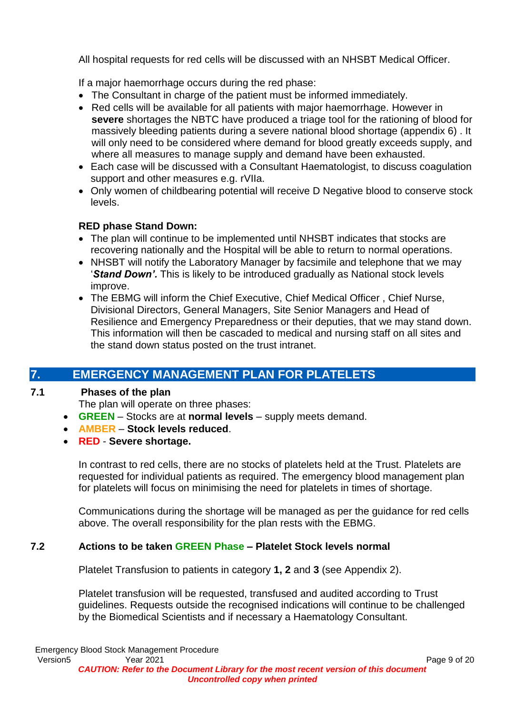All hospital requests for red cells will be discussed with an NHSBT Medical Officer.

If a major haemorrhage occurs during the red phase:

- The Consultant in charge of the patient must be informed immediately.
- Red cells will be available for all patients with major haemorrhage. However in **severe** shortages the NBTC have produced a triage tool for the rationing of blood for massively bleeding patients during a severe national blood shortage (appendix 6) . It will only need to be considered where demand for blood greatly exceeds supply, and where all measures to manage supply and demand have been exhausted.
- Each case will be discussed with a Consultant Haematologist, to discuss coagulation support and other measures e.g. rVIIa.
- Only women of childbearing potential will receive D Negative blood to conserve stock levels.

## **RED phase Stand Down:**

- The plan will continue to be implemented until NHSBT indicates that stocks are recovering nationally and the Hospital will be able to return to normal operations.
- NHSBT will notify the Laboratory Manager by facsimile and telephone that we may '*Stand Down'.* This is likely to be introduced gradually as National stock levels improve.
- The EBMG will inform the Chief Executive, Chief Medical Officer , Chief Nurse, Divisional Directors, General Managers, Site Senior Managers and Head of Resilience and Emergency Preparedness or their deputies, that we may stand down. This information will then be cascaded to medical and nursing staff on all sites and the stand down status posted on the trust intranet.

# **7. EMERGENCY MANAGEMENT PLAN FOR PLATELETS**

## **7.1 Phases of the plan**

The plan will operate on three phases:

- **GREEN** Stocks are at **normal levels**  supply meets demand.
- **AMBER Stock levels reduced**.
- **RED Severe shortage.**

In contrast to red cells, there are no stocks of platelets held at the Trust. Platelets are requested for individual patients as required. The emergency blood management plan for platelets will focus on minimising the need for platelets in times of shortage.

Communications during the shortage will be managed as per the guidance for red cells above. The overall responsibility for the plan rests with the EBMG.

## **7.2 Actions to be taken GREEN Phase – Platelet Stock levels normal**

Platelet Transfusion to patients in category **1, 2** and **3** (see Appendix 2).

Platelet transfusion will be requested, transfused and audited according to Trust guidelines. Requests outside the recognised indications will continue to be challenged by the Biomedical Scientists and if necessary a Haematology Consultant.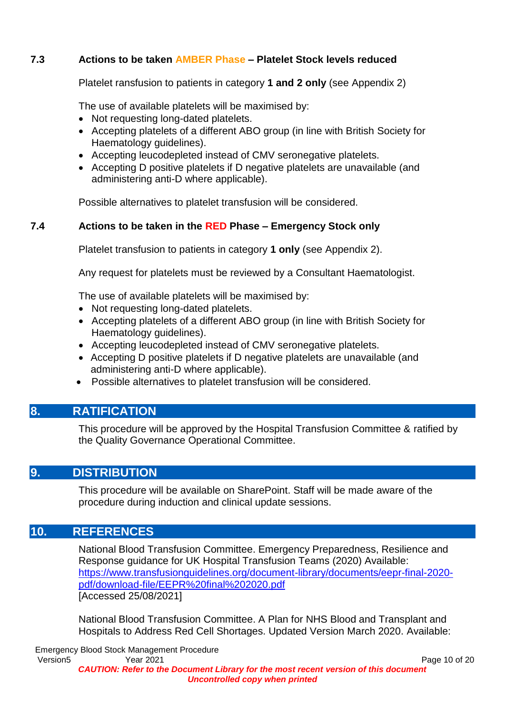### **7.3 Actions to be taken AMBER Phase – Platelet Stock levels reduced**

Platelet ransfusion to patients in category **1 and 2 only** (see Appendix 2)

The use of available platelets will be maximised by:

- Not requesting long-dated platelets.
- Accepting platelets of a different ABO group (in line with British Society for Haematology guidelines).
- Accepting leucodepleted instead of CMV seronegative platelets.
- Accepting D positive platelets if D negative platelets are unavailable (and administering anti-D where applicable).

Possible alternatives to platelet transfusion will be considered.

#### **7.4 Actions to be taken in the RED Phase – Emergency Stock only**

Platelet transfusion to patients in category **1 only** (see Appendix 2).

Any request for platelets must be reviewed by a Consultant Haematologist.

The use of available platelets will be maximised by:

- Not requesting long-dated platelets.
- Accepting platelets of a different ABO group (in line with British Society for Haematology guidelines).
- Accepting leucodepleted instead of CMV seronegative platelets.
- Accepting D positive platelets if D negative platelets are unavailable (and administering anti-D where applicable).
- Possible alternatives to platelet transfusion will be considered.

## **8. RATIFICATION**

This procedure will be approved by the Hospital Transfusion Committee & ratified by the Quality Governance Operational Committee.

### **9. DISTRIBUTION**

This procedure will be available on SharePoint. Staff will be made aware of the procedure during induction and clinical update sessions.

## **10. REFERENCES**

National Blood Transfusion Committee. Emergency Preparedness, Resilience and Response guidance for UK Hospital Transfusion Teams (2020) Available: [https://www.transfusionguidelines.org/document-library/documents/eepr-final-2020](https://www.transfusionguidelines.org/document-library/documents/eepr-final-2020-pdf/download-file/EEPR%20final%202020.pdf) [pdf/download-file/EEPR%20final%202020.pdf](https://www.transfusionguidelines.org/document-library/documents/eepr-final-2020-pdf/download-file/EEPR%20final%202020.pdf) [Accessed 25/08/2021]

National Blood Transfusion Committee. A Plan for NHS Blood and Transplant and Hospitals to Address Red Cell Shortages. Updated Version March 2020. Available:

Emergency Blood Stock Management Procedure Version5 7ear 2021 Page 10 of 20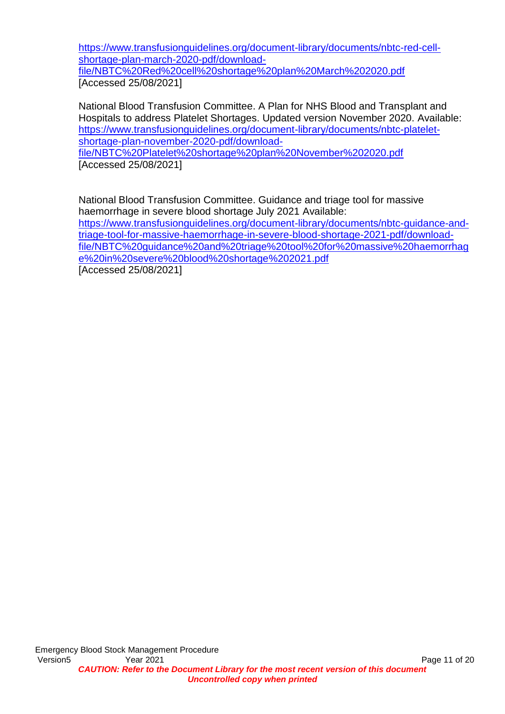[https://www.transfusionguidelines.org/document-library/documents/nbtc-red-cell](https://www.transfusionguidelines.org/document-library/documents/nbtc-red-cell-shortage-plan-march-2020-pdf/download-file/NBTC%20Red%20cell%20shortage%20plan%20March%202020.pdf)[shortage-plan-march-2020-pdf/download](https://www.transfusionguidelines.org/document-library/documents/nbtc-red-cell-shortage-plan-march-2020-pdf/download-file/NBTC%20Red%20cell%20shortage%20plan%20March%202020.pdf)[file/NBTC%20Red%20cell%20shortage%20plan%20March%202020.pdf](https://www.transfusionguidelines.org/document-library/documents/nbtc-red-cell-shortage-plan-march-2020-pdf/download-file/NBTC%20Red%20cell%20shortage%20plan%20March%202020.pdf) [Accessed 25/08/2021]

National Blood Transfusion Committee. A Plan for NHS Blood and Transplant and Hospitals to address Platelet Shortages. Updated version November 2020. Available: [https://www.transfusionguidelines.org/document-library/documents/nbtc-platelet](https://www.transfusionguidelines.org/document-library/documents/nbtc-platelet-shortage-plan-november-2020-pdf/download-file/NBTC%20Platelet%20shortage%20plan%20November%202020.pdf)[shortage-plan-november-2020-pdf/download](https://www.transfusionguidelines.org/document-library/documents/nbtc-platelet-shortage-plan-november-2020-pdf/download-file/NBTC%20Platelet%20shortage%20plan%20November%202020.pdf)[file/NBTC%20Platelet%20shortage%20plan%20November%202020.pdf](https://www.transfusionguidelines.org/document-library/documents/nbtc-platelet-shortage-plan-november-2020-pdf/download-file/NBTC%20Platelet%20shortage%20plan%20November%202020.pdf) [Accessed 25/08/2021]

National Blood Transfusion Committee. Guidance and triage tool for massive haemorrhage in severe blood shortage July 2021 Available: [https://www.transfusionguidelines.org/document-library/documents/nbtc-guidance-and](https://www.transfusionguidelines.org/document-library/documents/nbtc-guidance-and-triage-tool-for-massive-haemorrhage-in-severe-blood-shortage-2021-pdf/download-file/NBTC%20guidance%20and%20triage%20tool%20for%20massive%20haemorrhage%20in%20severe%20blood%20shortage%202021.pdf)[triage-tool-for-massive-haemorrhage-in-severe-blood-shortage-2021-pdf/download](https://www.transfusionguidelines.org/document-library/documents/nbtc-guidance-and-triage-tool-for-massive-haemorrhage-in-severe-blood-shortage-2021-pdf/download-file/NBTC%20guidance%20and%20triage%20tool%20for%20massive%20haemorrhage%20in%20severe%20blood%20shortage%202021.pdf)[file/NBTC%20guidance%20and%20triage%20tool%20for%20massive%20haemorrhag](https://www.transfusionguidelines.org/document-library/documents/nbtc-guidance-and-triage-tool-for-massive-haemorrhage-in-severe-blood-shortage-2021-pdf/download-file/NBTC%20guidance%20and%20triage%20tool%20for%20massive%20haemorrhage%20in%20severe%20blood%20shortage%202021.pdf) [e%20in%20severe%20blood%20shortage%202021.pdf](https://www.transfusionguidelines.org/document-library/documents/nbtc-guidance-and-triage-tool-for-massive-haemorrhage-in-severe-blood-shortage-2021-pdf/download-file/NBTC%20guidance%20and%20triage%20tool%20for%20massive%20haemorrhage%20in%20severe%20blood%20shortage%202021.pdf) [Accessed 25/08/2021]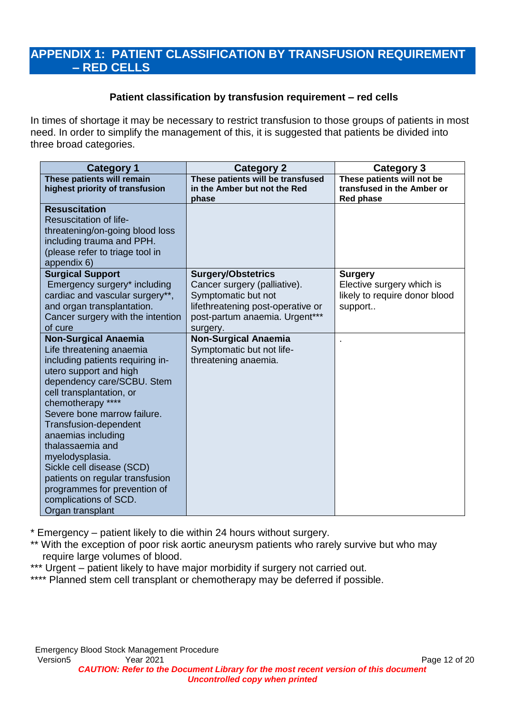## **APPENDIX 1: PATIENT CLASSIFICATION BY TRANSFUSION REQUIREMENT – RED CELLS**

#### **Patient classification by transfusion requirement – red cells**

In times of shortage it may be necessary to restrict transfusion to those groups of patients in most need. In order to simplify the management of this, it is suggested that patients be divided into three broad categories.

| <b>Category 1</b>                                                                                                                                                                                                                                                                                                                                                                                                                                                      | <b>Category 2</b>                                                                                                                                                   | <b>Category 3</b>                                                                       |
|------------------------------------------------------------------------------------------------------------------------------------------------------------------------------------------------------------------------------------------------------------------------------------------------------------------------------------------------------------------------------------------------------------------------------------------------------------------------|---------------------------------------------------------------------------------------------------------------------------------------------------------------------|-----------------------------------------------------------------------------------------|
| These patients will remain<br>highest priority of transfusion                                                                                                                                                                                                                                                                                                                                                                                                          | These patients will be transfused<br>in the Amber but not the Red<br>phase                                                                                          | These patients will not be<br>transfused in the Amber or<br><b>Red phase</b>            |
| <b>Resuscitation</b><br><b>Resuscitation of life-</b><br>threatening/on-going blood loss<br>including trauma and PPH.<br>(please refer to triage tool in<br>appendix 6)                                                                                                                                                                                                                                                                                                |                                                                                                                                                                     |                                                                                         |
| <b>Surgical Support</b><br>Emergency surgery* including<br>cardiac and vascular surgery**,<br>and organ transplantation.<br>Cancer surgery with the intention<br>of cure                                                                                                                                                                                                                                                                                               | <b>Surgery/Obstetrics</b><br>Cancer surgery (palliative).<br>Symptomatic but not<br>lifethreatening post-operative or<br>post-partum anaemia. Urgent***<br>surgery. | <b>Surgery</b><br>Elective surgery which is<br>likely to require donor blood<br>support |
| <b>Non-Surgical Anaemia</b><br>Life threatening anaemia<br>including patients requiring in-<br>utero support and high<br>dependency care/SCBU. Stem<br>cell transplantation, or<br>chemotherapy ****<br>Severe bone marrow failure.<br>Transfusion-dependent<br>anaemias including<br>thalassaemia and<br>myelodysplasia.<br>Sickle cell disease (SCD)<br>patients on regular transfusion<br>programmes for prevention of<br>complications of SCD.<br>Organ transplant | <b>Non-Surgical Anaemia</b><br>Symptomatic but not life-<br>threatening anaemia.                                                                                    |                                                                                         |

\* Emergency – patient likely to die within 24 hours without surgery.

\*\* With the exception of poor risk aortic aneurysm patients who rarely survive but who may require large volumes of blood.

\*\*\* Urgent – patient likely to have major morbidity if surgery not carried out.

\*\*\*\* Planned stem cell transplant or chemotherapy may be deferred if possible.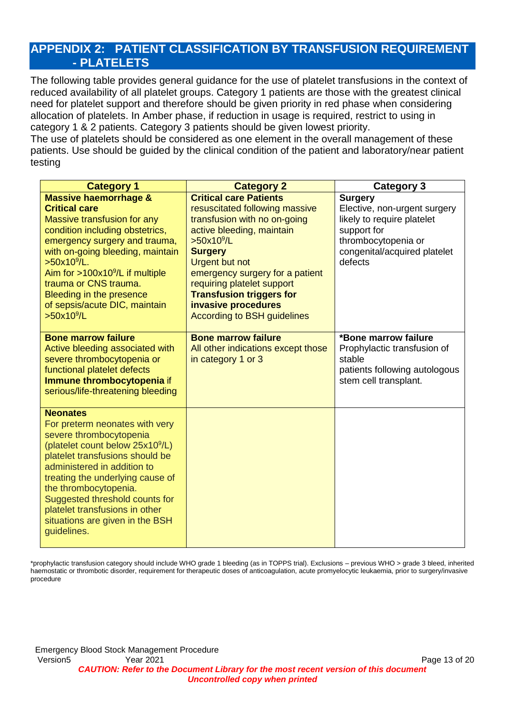## **APPENDIX 2: PATIENT CLASSIFICATION BY TRANSFUSION REQUIREMENT - PLATELETS**

The following table provides general guidance for the use of platelet transfusions in the context of reduced availability of all platelet groups. Category 1 patients are those with the greatest clinical need for platelet support and therefore should be given priority in red phase when considering allocation of platelets. In Amber phase, if reduction in usage is required, restrict to using in category 1 & 2 patients. Category 3 patients should be given lowest priority.

The use of platelets should be considered as one element in the overall management of these patients. Use should be guided by the clinical condition of the patient and laboratory/near patient testing

| <b>Category 1</b>                                                                                                                                                                                                                                                                                                                                                                 | <b>Category 2</b>                                                                                                                                                                                                                                                                                                                                                  | Category 3                                                                                                                                                    |
|-----------------------------------------------------------------------------------------------------------------------------------------------------------------------------------------------------------------------------------------------------------------------------------------------------------------------------------------------------------------------------------|--------------------------------------------------------------------------------------------------------------------------------------------------------------------------------------------------------------------------------------------------------------------------------------------------------------------------------------------------------------------|---------------------------------------------------------------------------------------------------------------------------------------------------------------|
| <b>Massive haemorrhage &amp;</b><br><b>Critical care</b><br>Massive transfusion for any<br>condition including obstetrics,<br>emergency surgery and trauma,<br>with on-going bleeding, maintain<br>$>50x10^9/L$ .<br>Aim for $>100x10^9$ /L if multiple<br>trauma or CNS trauma.<br>Bleeding in the presence<br>of sepsis/acute DIC, maintain<br>>50x10 <sup>9</sup> /L           | <b>Critical care Patients</b><br>resuscitated following massive<br>transfusion with no on-going<br>active bleeding, maintain<br>>50x10 <sup>9</sup> /L<br><b>Surgery</b><br><b>Urgent but not</b><br>emergency surgery for a patient<br>requiring platelet support<br><b>Transfusion triggers for</b><br>invasive procedures<br><b>According to BSH guidelines</b> | <b>Surgery</b><br>Elective, non-urgent surgery<br>likely to require platelet<br>support for<br>thrombocytopenia or<br>congenital/acquired platelet<br>defects |
| <b>Bone marrow failure</b><br>Active bleeding associated with<br>severe thrombocytopenia or<br>functional platelet defects<br>Immune thrombocytopenia if<br>serious/life-threatening bleeding                                                                                                                                                                                     | <b>Bone marrow failure</b><br>All other indications except those<br>in category 1 or 3                                                                                                                                                                                                                                                                             | *Bone marrow failure<br>Prophylactic transfusion of<br>stable<br>patients following autologous<br>stem cell transplant.                                       |
| <b>Neonates</b><br>For preterm neonates with very<br>severe thrombocytopenia<br>(platelet count below 25x10 <sup>9</sup> /L)<br>platelet transfusions should be<br>administered in addition to<br>treating the underlying cause of<br>the thrombocytopenia.<br>Suggested threshold counts for<br>platelet transfusions in other<br>situations are given in the BSH<br>guidelines. |                                                                                                                                                                                                                                                                                                                                                                    |                                                                                                                                                               |

\*prophylactic transfusion category should include WHO grade 1 bleeding (as in TOPPS trial). Exclusions – previous WHO > grade 3 bleed, inherited haemostatic or thrombotic disorder, requirement for therapeutic doses of anticoagulation, acute promyelocytic leukaemia, prior to surgery/invasive procedure

Emergency Blood Stock Management Procedure Version5 7ear 2021 Page 13 of 20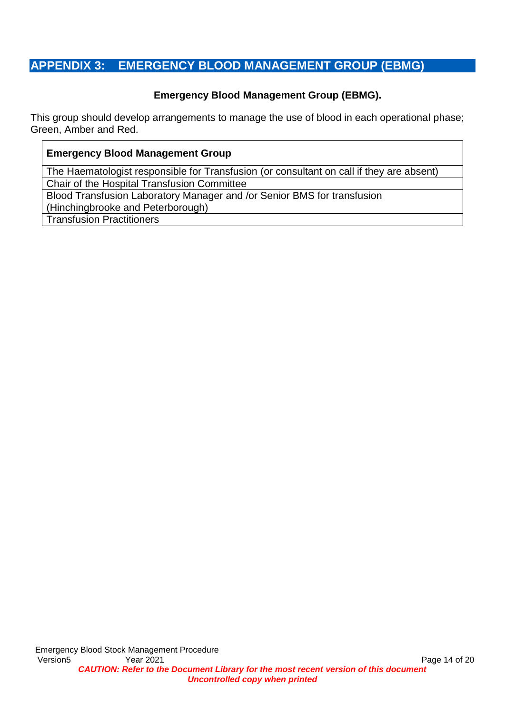# **APPENDIX 3: EMERGENCY BLOOD MANAGEMENT GROUP (EBMG)**

### **Emergency Blood Management Group (EBMG).**

This group should develop arrangements to manage the use of blood in each operational phase; Green, Amber and Red.

#### **Emergency Blood Management Group**

The Haematologist responsible for Transfusion (or consultant on call if they are absent) Chair of the Hospital Transfusion Committee

Blood Transfusion Laboratory Manager and /or Senior BMS for transfusion (Hinchingbrooke and Peterborough)

Transfusion Practitioners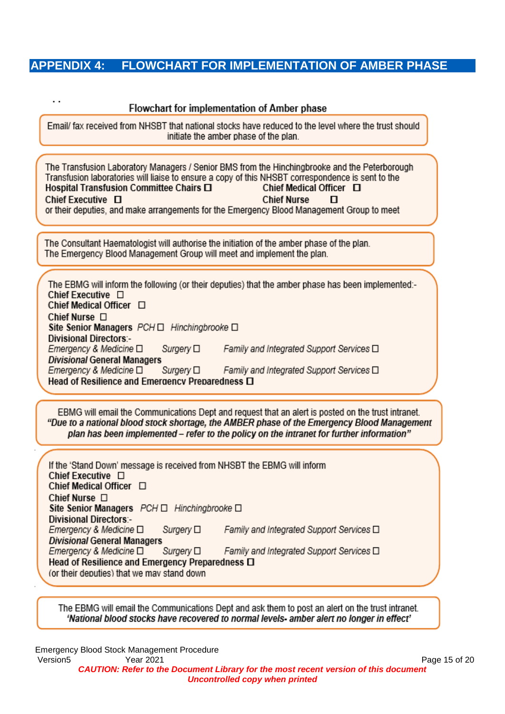## **APPENDIX 4: FLOWCHART FOR IMPLEMENTATION OF AMBER PHASE**

#### Flowchart for implementation of Amber phase

 $\ddot{\phantom{a}}$ 

Email/ fax received from NHSBT that national stocks have reduced to the level where the trust should initiate the amber phase of the plan

The Transfusion Laboratory Managers / Senior BMS from the Hinchingbrooke and the Peterborough Transfusion laboratories will liaise to ensure a copy of this NHSBT correspondence is sent to the Hospital Transfusion Committee Chairs □ Chief Medical Officer  $\Box$ Chief Executive O **Chief Nurse**  $\mathbf{\Pi}$ or their deputies, and make arrangements for the Emergency Blood Management Group to meet

The Consultant Haematologist will authorise the initiation of the amber phase of the plan. The Emergency Blood Management Group will meet and implement the plan.

The EBMG will inform the following (or their deputies) that the amber phase has been implemented:-Chief Executive  $\Box$ Chief Medical Officer □ Chief Nurse □ Site Senior Managers PCH □ Hinchingbrooke □ **Divisional Directors:-**Emergency & Medicine □ Family and Integrated Support Services  $\Box$ Suraerv □ **Divisional General Managers** Emergency & Medicine  $\square$ Surgery  $\square$ Family and Integrated Support Services  $\square$ Head of Resilience and Emergency Preparedness O

EBMG will email the Communications Dept and request that an alert is posted on the trust intranet. "Due to a national blood stock shortage, the AMBER phase of the Emergency Blood Management plan has been implemented - refer to the policy on the intranet for further information"

| If the 'Stand Down' message is received from NHSBT the EBMG will inform<br>Chief Executive $\Box$<br>Chief Medical Officer □ |                                                  |
|------------------------------------------------------------------------------------------------------------------------------|--------------------------------------------------|
| Chief Nurse $\Box$                                                                                                           |                                                  |
| Site Senior Managers $PCH \Box$ Hinchingbrooke $\Box$                                                                        |                                                  |
| <b>Divisional Directors:-</b>                                                                                                |                                                  |
| Surgery $\square$<br>Emergency & Medicine □                                                                                  | Family and Integrated Support Services □         |
| <b>Divisional General Managers</b>                                                                                           |                                                  |
| Emergency & Medicine □<br>Surgery $\square$                                                                                  | Family and Integrated Support Services $\square$ |
| Head of Resilience and Emergency Preparedness $\Box$<br>(or their deputies) that we may stand down                           |                                                  |

The EBMG will email the Communications Dept and ask them to post an alert on the trust intranet. 'National blood stocks have recovered to normal levels- amber alert no longer in effect'

Emergency Blood Stock Management Procedure Version5 **Page 15 of 2021** Page 15 of 2021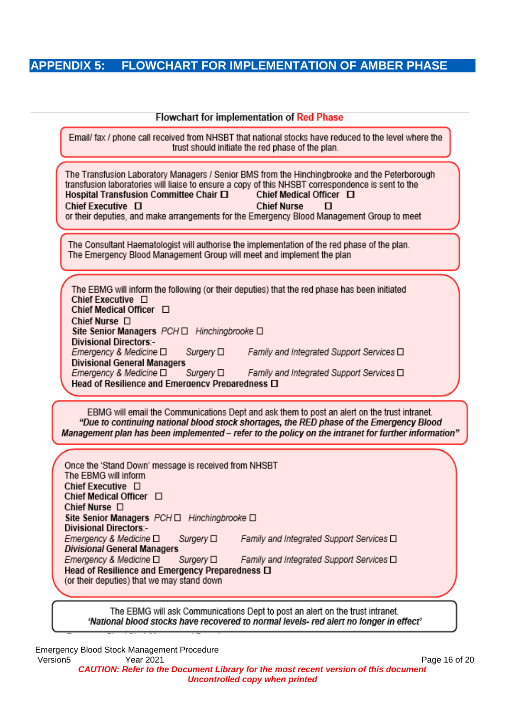# **APPENDIX 5: FLOWCHART FOR IMPLEMENTATION OF AMBER PHASE**

#### **Flowchart for implementation of Red Phase**

Email/ fax / phone call received from NHSBT that national stocks have reduced to the level where the trust should initiate the red phase of the plan.

The Transfusion Laboratory Managers / Senior BMS from the Hinchingbrooke and the Peterborough transfusion laboratories will liaise to ensure a copy of this NHSBT correspondence is sent to the Hospital Transfusion Committee Chair O Chief Medical Officer  $\Box$ Chief Executive O **Chief Nurse** п or their deputies, and make arrangements for the Emergency Blood Management Group to meet

The Consultant Haematologist will authorise the implementation of the red phase of the plan. The Emergency Blood Management Group will meet and implement the plan

The EBMG will inform the following (or their deputies) that the red phase has been initiated Chief Executive  $\Box$ Chief Medical Officer  $\Box$ Chief Nurse  $\Box$ Site Senior Managers PCH O Hinchingbrooke O **Divisional Directors:-**Emergency & Medicine □ Surgery □ Family and Integrated Support Services □ **Divisional General Managers** Emergency & Medicine  $\square$ Surgery  $\square$ Family and Integrated Support Services □ Head of Resilience and Emergency Preparedness  $\Box$ 

EBMG will email the Communications Dept and ask them to post an alert on the trust intranet. "Due to continuing national blood stock shortages, the RED phase of the Emergency Blood Management plan has been implemented - refer to the policy on the intranet for further information"

Once the 'Stand Down' message is received from NHSBT The EBMG will inform Chief Executive □ Chief Medical Officer  $\Box$ Chief Nurse  $\Box$ Site Senior Managers PCH O Hinchingbrooke O **Divisional Directors:-**Emergency & Medicine O Surgery  $\square$ Family and Integrated Support Services  $\Box$ **Divisional General Managers** Emergency & Medicine □ Family and Integrated Support Services  $\Box$ Surgery  $\square$ Head of Resilience and Emergency Preparedness O (or their deputies) that we may stand down

The EBMG will ask Communications Dept to post an alert on the trust intranet. 'National blood stocks have recovered to normal levels- red alert no longer in effect'

Emergency Blood Stock Management Procedure Version5 **Page 16 of 2021** Year 2021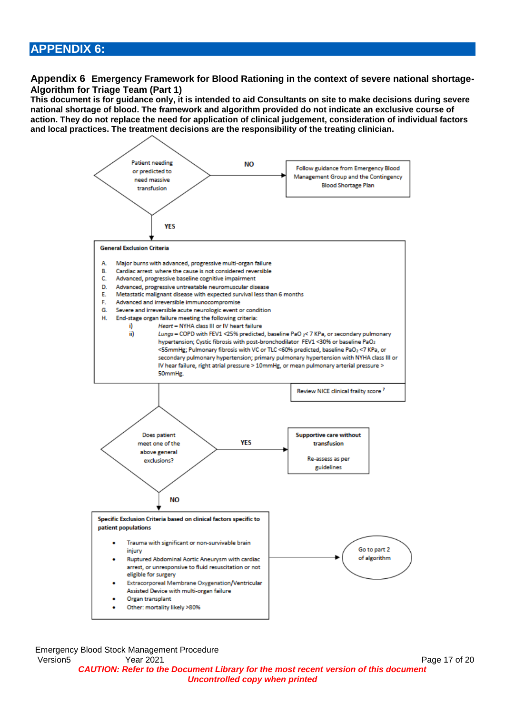### **APPENDIX 6:**

**Appendix 6 Emergency Framework for Blood Rationing in the context of severe national shortage-Algorithm for Triage Team (Part 1)**

**This document is for guidance only, it is intended to aid Consultants on site to make decisions during severe national shortage of blood. The framework and algorithm provided do not indicate an exclusive course of action. They do not replace the need for application of clinical judgement, consideration of individual factors and local practices. The treatment decisions are the responsibility of the treating clinician.**



Emergency Blood Stock Management Procedure Version5 7ear 2021 Page 17 of 20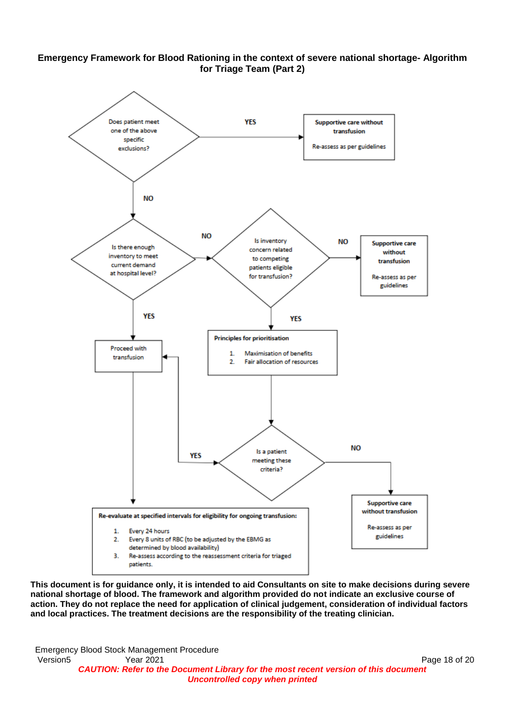



**This document is for guidance only, it is intended to aid Consultants on site to make decisions during severe national shortage of blood. The framework and algorithm provided do not indicate an exclusive course of action. They do not replace the need for application of clinical judgement, consideration of individual factors and local practices. The treatment decisions are the responsibility of the treating clinician.**

Emergency Blood Stock Management Procedure Version5 **Page 18 of 2021** Page 18 of 2021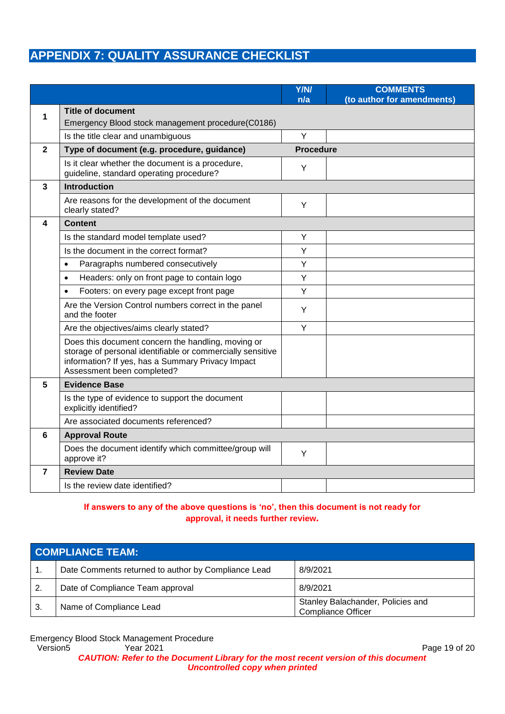# **APPENDIX 7: QUALITY ASSURANCE CHECKLIST**

|                |                                                                                                                                                                                                     | <b>Y/N/</b><br>n/a | <b>COMMENTS</b><br>(to author for amendments) |
|----------------|-----------------------------------------------------------------------------------------------------------------------------------------------------------------------------------------------------|--------------------|-----------------------------------------------|
| 1              | <b>Title of document</b><br>Emergency Blood stock management procedure(C0186)                                                                                                                       |                    |                                               |
|                | Is the title clear and unambiguous                                                                                                                                                                  | Y                  |                                               |
| $\mathbf{2}$   | Type of document (e.g. procedure, guidance)                                                                                                                                                         | <b>Procedure</b>   |                                               |
|                | Is it clear whether the document is a procedure,<br>guideline, standard operating procedure?                                                                                                        | Υ                  |                                               |
| $\overline{3}$ | <b>Introduction</b>                                                                                                                                                                                 |                    |                                               |
|                | Are reasons for the development of the document<br>clearly stated?                                                                                                                                  | Y                  |                                               |
| 4              | <b>Content</b>                                                                                                                                                                                      |                    |                                               |
|                | Is the standard model template used?                                                                                                                                                                | Υ                  |                                               |
|                | Is the document in the correct format?                                                                                                                                                              | Y                  |                                               |
|                | Paragraphs numbered consecutively<br>$\bullet$                                                                                                                                                      | Y                  |                                               |
|                | Headers: only on front page to contain logo<br>$\bullet$                                                                                                                                            | Y                  |                                               |
|                | Footers: on every page except front page<br>$\bullet$                                                                                                                                               | Y                  |                                               |
|                | Are the Version Control numbers correct in the panel<br>and the footer                                                                                                                              | Υ                  |                                               |
|                | Are the objectives/aims clearly stated?                                                                                                                                                             | Y                  |                                               |
|                | Does this document concern the handling, moving or<br>storage of personal identifiable or commercially sensitive<br>information? If yes, has a Summary Privacy Impact<br>Assessment been completed? |                    |                                               |
| 5              | <b>Evidence Base</b>                                                                                                                                                                                |                    |                                               |
|                | Is the type of evidence to support the document<br>explicitly identified?                                                                                                                           |                    |                                               |
|                | Are associated documents referenced?                                                                                                                                                                |                    |                                               |
| 6              | <b>Approval Route</b>                                                                                                                                                                               |                    |                                               |
|                | Does the document identify which committee/group will<br>approve it?                                                                                                                                | Υ                  |                                               |
| $\overline{7}$ | <b>Review Date</b>                                                                                                                                                                                  |                    |                                               |
|                | Is the review date identified?                                                                                                                                                                      |                    |                                               |

#### **If answers to any of the above questions is 'no', then this document is not ready for approval, it needs further review***.*

| <b>COMPLIANCE TEAM:</b>                             |                                                                |
|-----------------------------------------------------|----------------------------------------------------------------|
| Date Comments returned to author by Compliance Lead | 8/9/2021                                                       |
| Date of Compliance Team approval                    | 8/9/2021                                                       |
| Name of Compliance Lead                             | Stanley Balachander, Policies and<br><b>Compliance Officer</b> |

Emergency Blood Stock Management Procedure